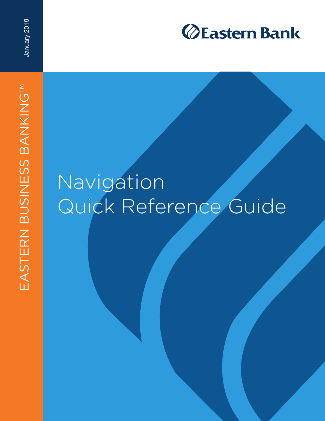

January 2019

# Navigation Quick Reference Guide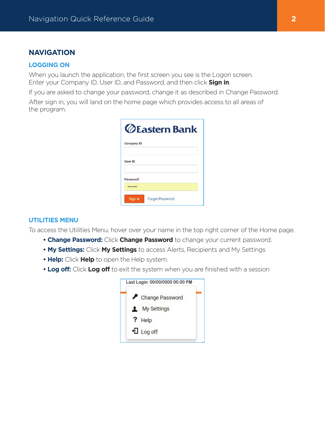# **NAVIGATION**

#### **LOGGING ON**

When you launch the application, the first screen you see is the Logon screen. Enter your Company ID, User ID, and Password, and then click **Sign in**.

If you are asked to change your password, change it as described in Change Password.

After sign in, you will land on the home page which provides access to all areas of the program.

|                   | <b>ZEastern Bank</b>   |
|-------------------|------------------------|
| <b>Company ID</b> |                        |
| <b>User ID</b>    |                        |
| <b>Password</b>   |                        |
|                   |                        |
| Sign In           | <b>Forgot Password</b> |

#### **UTILITIES MENU**

To access the Utilities Menu, hover over your name in the top right corner of the Home page.

- **Change Password:** Click **Change Password** to change your current password.
- **My Settings:** Click **My Settings** to access Alerts, Recipients and My Settings
- **Help:** Click **Help** to open the Help system.
- **Log off:** Click **Log off** to exit the system when you are finished with a session

|    | Last Login: 00/00/0000 00:00 PM |
|----|---------------------------------|
| ∕  | <b>Change Password</b>          |
| ı. | <b>My Settings</b>              |
|    | ? Help                          |
|    | +1 Log off                      |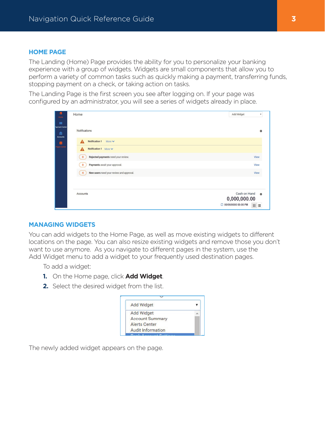#### **HOME PAGE**

The Landing (Home) Page provides the ability for you to personalize your banking experience with a group of widgets. Widgets are small components that allow you to perform a variety of common tasks such as quickly making a payment, transferring funds, stopping payment on a check, or taking action on tasks.

The Landing Page is the first screen you see after logging on. If your page was configured by an administrator, you will see a series of widgets already in place.

| 昔<br>Home                                         | Home                                                | <b>Add Widget</b><br>$\boldsymbol{\mathrm{v}}$                    |
|---------------------------------------------------|-----------------------------------------------------|-------------------------------------------------------------------|
| $\overline{m}$<br>Payment Center<br>孟<br>Accounts | Notifications                                       | 妆                                                                 |
| 조                                                 | Notification 1<br>More $\blacktriangleright$        |                                                                   |
| Payee Center                                      | Notification 1 More V<br>Λ                          |                                                                   |
|                                                   | Rejected payments need your review.<br>$\mathbf{0}$ | View                                                              |
|                                                   | Payments await your approval.<br>$\Omega$           | <b>View</b>                                                       |
|                                                   | New users need your review and approval.<br>4       | View                                                              |
|                                                   |                                                     |                                                                   |
|                                                   | Accounts                                            | Cash on Hand<br>b.<br>0,000,000.00<br>C 00/00/0000 00:00 PM<br>田田 |

#### **MANAGING WIDGETS**

You can add widgets to the Home Page, as well as move existing widgets to different locations on the page. You can also resize existing widgets and remove those you don't want to use anymore. As you navigate to different pages in the system, use the Add Widget menu to add a widget to your frequently used destination pages.

To add a widget:

- **1.** On the Home page, click **Add Widget**.
- **2.** Select the desired widget from the list.

| <b>Add Widget</b>        |  |
|--------------------------|--|
| <b>Add Widget</b>        |  |
| <b>Account Summary</b>   |  |
| <b>Alerts Center</b>     |  |
| <b>Audit Information</b> |  |
|                          |  |

The newly added widget appears on the page.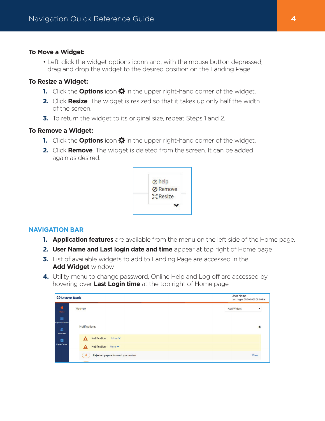## **To Move a Widget:**

• Left-click the widget options iconn and, with the mouse button depressed, drag and drop the widget to the desired position on the Landing Page.

## **To Resize a Widget:**

- **1.** Click the **Options** icon  $\ddot{\mathbf{\Omega}}$  in the upper right-hand corner of the widget.
- **2.** Click **Resize**. The widget is resized so that it takes up only half the width of the screen.
- **3.** To return the widget to its original size, repeat Steps 1 and 2.

## **To Remove a Widget:**

- **1.** Click the **Options** icon  $\ddot{\mathbf{\Omega}}$  in the upper right-hand corner of the widget.
- **2.** Click **Remove**. The widget is deleted from the screen. It can be added again as desired.



## **NAVIGATION BAR**

- **1. Application features** are available from the menu on the left side of the Home page.
- **2. User Name and Last login date and time** appear at top right of Home page
- **3.** List of available widgets to add to Landing Page are accessed in the **Add Widget** window
- **4.** Utility menu to change password, Online Help and Log off are accessed by hovering over **Last Login time** at the top right of Home page

| <b><i><u>ØEastern Bank</u></i></b>                        | <b>User Name</b><br>Last Login: 00/00/0000 00:00 PM   |                   |
|-----------------------------------------------------------|-------------------------------------------------------|-------------------|
| 普<br>Home                                                 | Home                                                  | <b>Add Widget</b> |
| $\boxed{\blacksquare}$<br>Payment Center<br>孟<br>Accounts | <b>Notifications</b>                                  | *                 |
| 目                                                         | Notification 1 More V<br>4                            |                   |
| Payee Center                                              | Notification 1 More V<br>Α                            |                   |
|                                                           | Rejected payments need your review.<br>$\overline{0}$ | <b>View</b>       |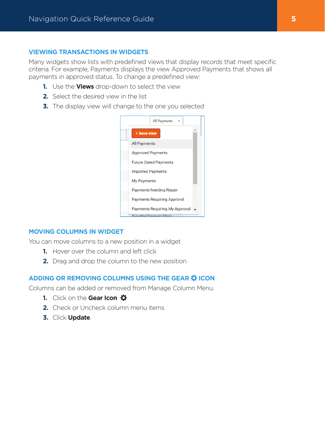## **VIEWING TRANSACTIONS IN WIDGETS**

Many widgets show lists with predefined views that display records that meet specific criteria. For example, Payments displays the view Approved Payments that shows all payments in approved status. To change a predefined view:

- **1.** Use the **Views** drop-down to select the view
- **2.** Select the desired view in the list
- **3.** The display view will change to the one you selected



## **MOVING COLUMNS IN WIDGET**

You can move columns to a new position in a widget

- **1.** Hover over the column and left click
- **2.** Drag and drop the column to the new position

# **ADDING OR REMOVING COLUMNS USING THE GEAR ICON**

Columns can be added or removed from Manage Column Menu.

- **1.** Click on the **Gear Icon**
- **2.** Check or Uncheck column menu items
- **3.** Click **Update**.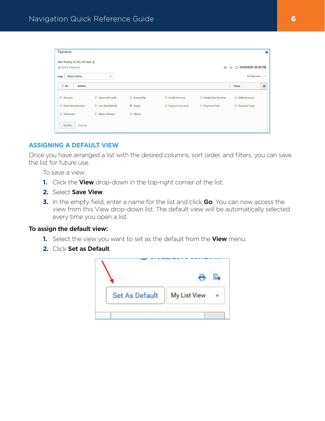|                                |            |                 |                    |                | 券                                          |
|--------------------------------|------------|-----------------|--------------------|----------------|--------------------------------------------|
| Max display of info: 90 days 1 |            |                 | e                  |                |                                            |
| $\blacktriangledown$           |            |                 |                    | Payee          | $\mathbf{v}$<br>券                          |
| Approval Cutoff                | Created By | Credit Amount   | Credit Note Number | D Debit Amount |                                            |
| Last Modified By               | Payee      | Payment Account | Payment Date       | Payment Type   |                                            |
| Reject Reason                  | Status     |                 |                    |                |                                            |
|                                |            |                 |                    |                | C 00/00/0000 00:00 PM<br>B<br>All Payments |

# **ASSIGNING A DEFAULT VIEW**

Once you have arranged a list with the desired columns, sort order, and filters, you can save the list for future use.

To save a view:

- **1.** Click the **View** drop-down in the top-right corner of the list.
- **2.** Select **Save View**.
- **3.** In the empty field, enter a name for the list and click **Go**. You can now access the view from this View drop-down list. The default view will be automatically selected every time you open a list.

#### **To assign the default view:**

- **1.** Select the view you want to set as the default from the **View** menu.
- **2.** Click **Set as Default**.

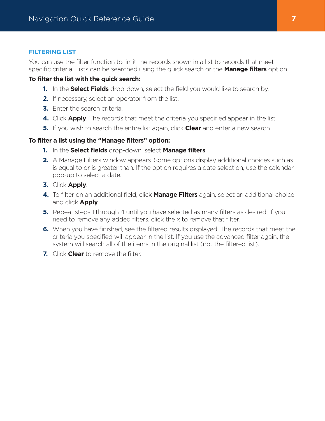## **FILTERING LIST**

You can use the filter function to limit the records shown in a list to records that meet specific criteria. Lists can be searched using the quick search or the **Manage filters** option.

## **To filter the list with the quick search:**

- **1.** In the **Select Fields** drop-down, select the field you would like to search by.
- **2.** If necessary, select an operator from the list.
- **3.** Enter the search criteria.
- **4.** Click **Apply**. The records that meet the criteria you specified appear in the list.
- **5.** If you wish to search the entire list again, click **Clear** and enter a new search.

## **To filter a list using the "Manage filters" option:**

- **1.** In the **Select fields** drop-down, select **Manage filters**.
- **2.** A Manage Filters window appears. Some options display additional choices such as is equal to or is greater than. If the option requires a date selection, use the calendar pop-up to select a date.
- **3.** Click **Apply**.
- **4.** To filter on an additional field, click **Manage Filters** again, select an additional choice and click **Apply**.
- **5.** Repeat steps 1 through 4 until you have selected as many filters as desired. If you need to remove any added filters, click the x to remove that filter.
- **6.** When you have finished, see the filtered results displayed. The records that meet the criteria you specified will appear in the list. If you use the advanced filter again, the system will search all of the items in the original list (not the filtered list).
- **7.** Click **Clear** to remove the filter.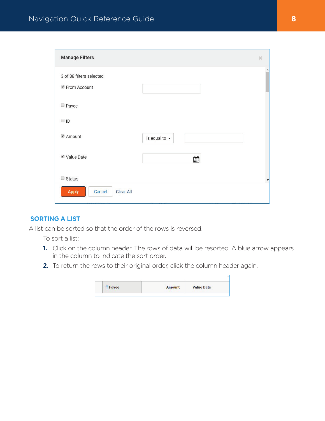| <b>Manage Filters</b>                    |                    | $\times$ |
|------------------------------------------|--------------------|----------|
| 3 of 38 filters selected<br>From Account |                    |          |
| Payee                                    |                    |          |
| $\Box$ ID                                |                    |          |
| ■ Amount                                 | is equal to $\sim$ |          |
| Value Date                               | 釂                  |          |
| Status                                   |                    | ▼        |
| Clear All<br>Apply<br>Cancel             |                    |          |

# **SORTING A LIST**

A list can be sorted so that the order of the rows is reversed.

To sort a list:

- **1.** Click on the column header. The rows of data will be resorted. A blue arrow appears in the column to indicate the sort order.
- **2.** To return the rows to their original order, click the column header again.